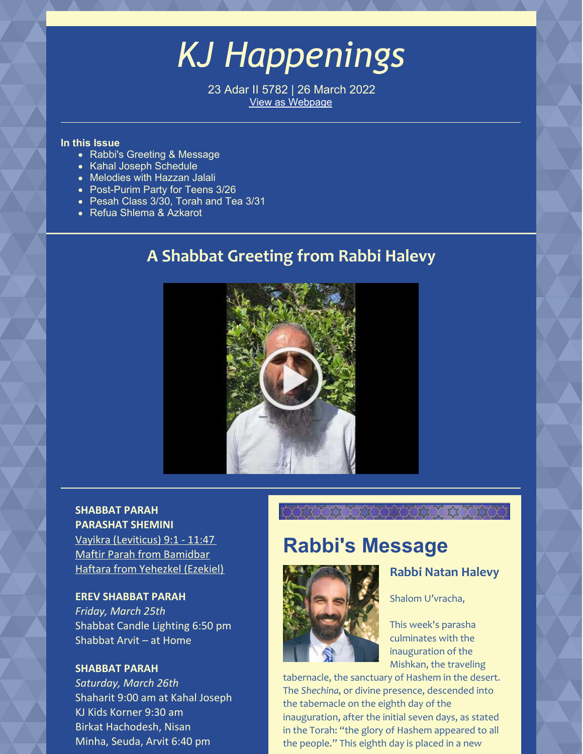# *KJ Happenings*

23 Adar II 5782 | 26 March 2022 View as [Webpage](https://campaignlp.constantcontact.com/em/1101521746827/47c127c7-ecc2-4350-abd2-4734fc37da41)

# **In this Issue**

- Rabbi's Greeting & Message
- Kahal Joseph Schedule
- Melodies with Hazzan Jalali
- Post-Purim Party for Teens 3/26
- Pesah Class 3/30, Torah and Tea 3/31
- Refua Shlema & Azkarot

# **A Shabbat Greeting from Rabbi Halevy**



# **SHABBAT PARAH PARASHAT SHEMINI**

Vayikra [\(Leviticus\)](https://www.chabad.org/parshah/torahreading.asp?tdate=3/26/2022&p=1) 9:1 - 11:47 Maftir Parah from [Bamidbar](https://www.chabad.org/parshah/torahreading.asp?tdate=3/26/2022&p=maftir) Haftara from [Yehezkel](https://www.chabad.org/parshah/torahreading.asp?tdate=3/26/2022&p=haftarah) (Ezekiel)

# **EREV SHABBAT PARAH**

*Friday, March 25th* Shabbat Candle Lighting 6:50 pm Shabbat Arvit – at Home

# **SHABBAT PARAH**

*Saturday, March 26th* Shaharit 9:00 am at Kahal Joseph KJ Kids Korner 9:30 am Birkat Hachodesh, Nisan Minha, Seuda, Arvit 6:40 pm

# **Rabbi's Message**

XXXXXXXXXXXXXX



# **Rabbi Natan Halevy**

Shalom U'vracha,

This week's parasha culminates with the inauguration of the Mishkan, the traveling

tabernacle, the sanctuary of Hashem in the desert. The *Shechina*, or divine presence, descended into the tabernacle on the eighth day of the inauguration, after the initial seven days, as stated in the Torah: "the glory of Hashem appeared to all the people." This eighth day is placed in a new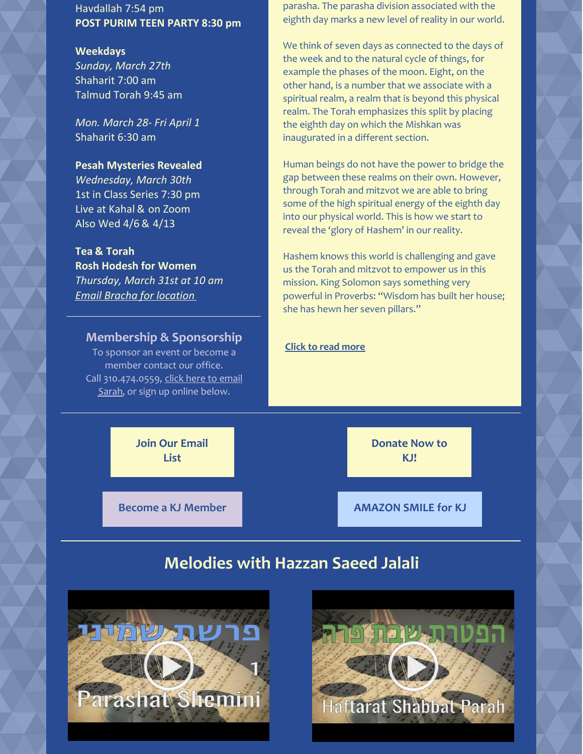Havdallah 7:54 pm **POST PURIM TEEN PARTY 8:30 pm**

### **Weekdays**

*Sunday, March 27th* Shaharit 7:00 am Talmud Torah 9:45 am

*Mon. March 28- Fri April 1* Shaharit 6:30 am

# **Pesah Mysteries Revealed**

*Wednesday, March 30th* 1st in Class Series 7:30 pm Live at Kahal & on Zoom Also Wed 4/6 & 4/13

# **Tea & Torah**

**Rosh Hodesh for Women** *Thursday, March 31st at 10 am Email Bracha for [location](mailto:brachamindel@gmail.com)*

# **Membership & Sponsorship**

To sponsor an event or become a member contact our office. Call [310.474.0559,](mailto:sarah_bouchoucha@verizon.net) click here to email Sarah, or sign up online below.

parasha. The parasha division associated with the eighth day marks a new level of reality in our world.

We think of seven days as connected to the days of the week and to the natural cycle of things, for example the phases of the moon. Eight, on the other hand, is a number that we associate with a spiritual realm, a realm that is beyond this physical realm. The Torah emphasizes this split by placing the eighth day on which the Mishkan was inaugurated in a different section.

Human beings do not have the power to bridge the gap between these realms on their own. However, through Torah and mitzvot we are able to bring some of the high spiritual energy of the eighth day into our physical world. This is how we start to reveal the 'glory of Hashem' in our reality.

Hashem knows this world is challenging and gave us the Torah and mitzvot to empower us in this mission. King Solomon says something very powerful in Proverbs: "Wisdom has built her house; she has hewn her seven pillars."

# **Click to read [more](https://www.kahaljoseph.org/learning/rabbis-message/)**

**Join Our [Email](https://www.kahaljoseph.org/join/join-our-mailing-list/) List**

**[Donate](https://www.kahaljoseph.org/support/donate-now/) Now to KJ!**

**Become a KJ [Member](https://www.kahaljoseph.org/join/online-membership-form/) [AMAZON](http://smile.amazon.com/ch/95-3368311) SMILE for KJ**

# **Melodies with Hazzan Saeed Jalali**



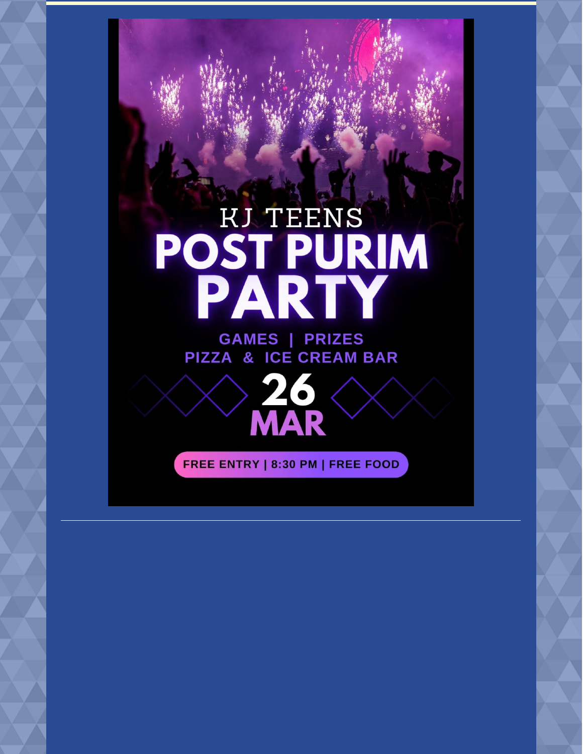# **POST PURIM<br>POST PURIM<br>PARTY GAMES | PRIZES**





FREE ENTRY | 8:30 PM | FREE FOOD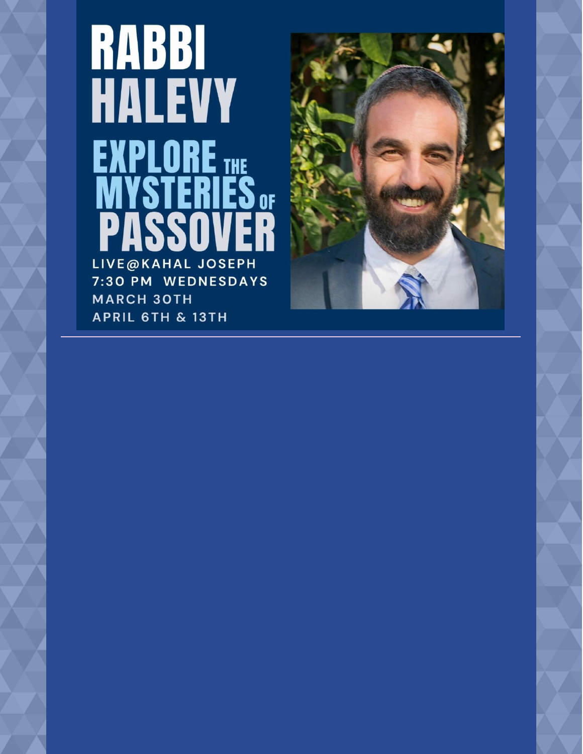# **RABBI<br>HALEVY** EXPLORE LIVE@KAHAL JOSEPH 7:30 PM WEDNESDAYS **MARCH 30TH APRIL 6TH & 13TH**

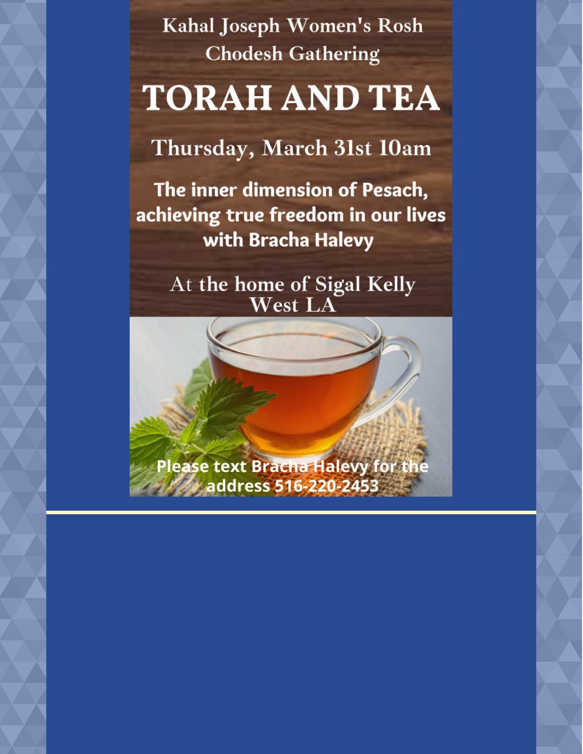Kahal Joseph Women's Rosh **Chodesh Gathering** 

# **TORAH AND TEA**

Thursday, March 31st 10am

The inner dimension of Pesach, achieving true freedom in our lives with Bracha Halevy

> At the home of Sigal Kelly West LA

Please text Bracha Halevy for the **Andress 516-220-2453**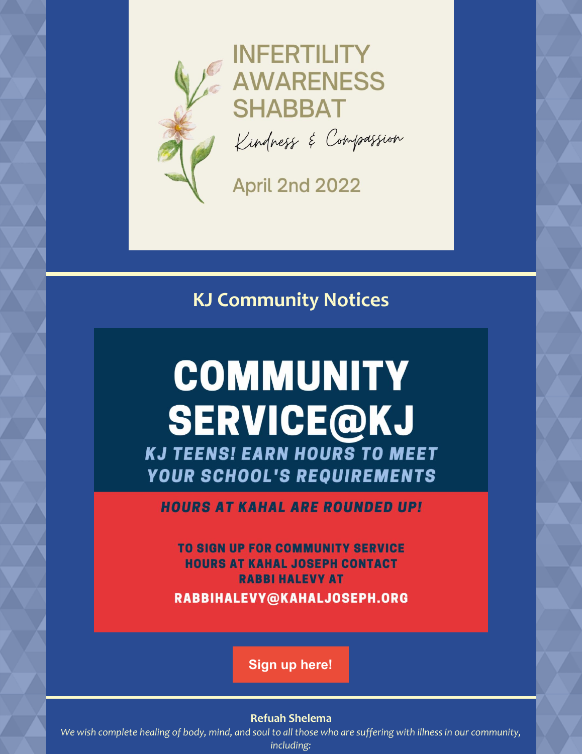

**INFERTILITY AWARENESS SHABBAT** Kindness & Compassion

**April 2nd 2022** 

**KJ Community Notices**

# **COMMUNITY SERVICE@KJ**

**KJ TEENS! EARN HOURS TO MEET** YOUR SCHOOL'S REQUIREMENTS

**HOURS AT KAHAL ARE ROUNDED UP!** 

**TO SIGN UP FOR COMMUNITY SERVICE HOURS AT KAHAL JOSEPH CONTACT RABBI HALEVY AT** 

RABBIHALEVY@KAHALJOSEPH.ORG

**Sign up [here!](mailto:rabbihalevy@kahaljoseph.org)**

### **Refuah Shelema**

We wish complete healing of body, mind, and soul to all those who are suffering with illness in our community, *including:*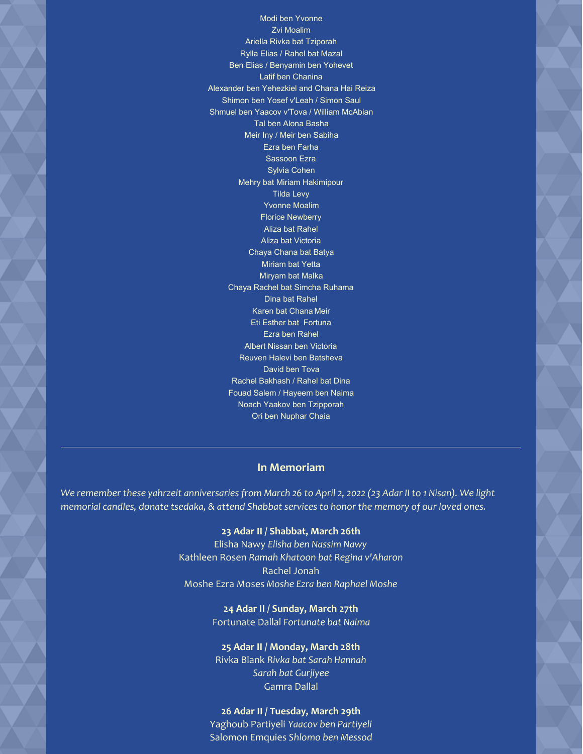Modi ben Yvonne Zvi Moalim Ariella Rivka bat Tziporah Rylla Elias / Rahel bat Mazal Ben Elias / Benyamin ben Yohevet Latif ben Chanina Alexander ben Yehezkiel and Chana Hai Reiza Shimon ben Yosef v'Leah / Simon Saul Shmuel ben Yaacov v'Tova / William McAbian Tal ben Alona Basha Meir Iny / Meir ben Sabiha Ezra ben Farha Sassoon Ezra Sylvia Cohen Mehry bat Miriam Hakimipour Tilda Levy Yvonne Moalim Florice Newberry Aliza bat Rahel Aliza bat Victoria Chaya Chana bat Batya Miriam bat Yetta Miryam bat Malka Chaya Rachel bat Simcha Ruhama Dina bat Rahel Karen bat Chana Meir Eti Esther bat Fortuna Ezra ben Rahel Albert Nissan ben Victoria Reuven Halevi ben Batsheva David ben Tova Rachel Bakhash / Rahel bat Dina Fouad Salem / Hayeem ben Naima Noach Yaakov ben Tzipporah Ori ben Nuphar Chaia

#### **In Memoriam**

We remember these yahrzeit anniversaries from March 26 to April 2, 2022 (23 Adar II to 1 Nisan). We light *memorial candles, donate tsedaka, & attend Shabbat services to honor the memory of our loved ones.*

#### **23 Adar II / Shabbat, March 26th**

Elisha Nawy *Elisha ben Nassim Nawy* Kathleen Rosen *Ramah Khatoon bat Regina v'Aharon* Rachel Jonah Moshe Ezra Moses *Moshe Ezra ben Raphael Moshe*

> **24 Adar II / Sunday, March 27th** Fortunate Dallal *Fortunate bat Naima*

# **25 Adar II / Monday, March 28th**

Rivka Blank *Rivka bat Sarah Hannah Sarah bat Gurjiyee* Gamra Dallal

**26 Adar II / Tuesday, March 29th** Yaghoub Partiyeli *Yaacov ben Partiyeli* Salomon Emquies *Shlomo ben Messod*